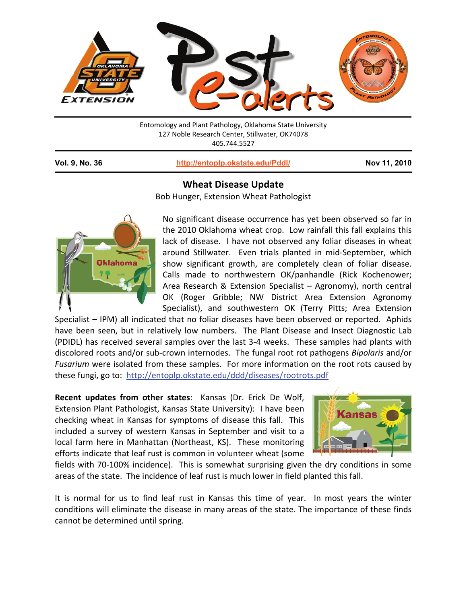

| Entomology and Plant Pathology, Oklahoma State University |
|-----------------------------------------------------------|
| 127 Noble Research Center, Stillwater, OK74078            |
| 405.744.5527                                              |
|                                                           |

1

**Vol. 9, No. 36 http://entoplp.okstate.edu/Pddl/ Nov 11, 2010**

## **Wheat Disease Update**

Bob Hunger, Extension Wheat Pathologist



No significant disease occurrence has yet been observed so far in the 2010 Oklahoma wheat crop. Low rainfall this fall explains this lack of disease. I have not observed any foliar diseases in wheat around Stillwater. Even trials planted in mid-September, which show significant growth, are completely clean of foliar disease. Calls made to northwestern OK/panhandle (Rick Kochenower; Area Research & Extension Specialist – Agronomy), north central OK (Roger Gribble; NW District Area Extension Agronomy Specialist), and southwestern OK (Terry Pitts; Area Extension

Specialist – IPM) all indicated that no foliar diseases have been observed or reported. Aphids have been seen, but in relatively low numbers. The Plant Disease and Insect Diagnostic Lab (PDIDL) has received several samples over the last 3‐4 weeks. These samples had plants with discolored roots and/or sub‐crown internodes. The fungal root rot pathogens *Bipolaris* and/or *Fusarium* were isolated from these samples. For more information on the root rots caused by these fungi, go to: http://entoplp.okstate.edu/ddd/diseases/rootrots.pdf

**Recent updates from other states**: Kansas (Dr. Erick De Wolf, Extension Plant Pathologist, Kansas State University): I have been checking wheat in Kansas for symptoms of disease this fall. This included a survey of western Kansas in September and visit to a local farm here in Manhattan (Northeast, KS). These monitoring efforts indicate that leaf rust is common in volunteer wheat (some



fields with 70‐100% incidence). This is somewhat surprising given the dry conditions in some areas of the state. The incidence of leaf rust is much lower in field planted this fall.

It is normal for us to find leaf rust in Kansas this time of year. In most years the winter conditions will eliminate the disease in many areas of the state. The importance of these finds cannot be determined until spring.